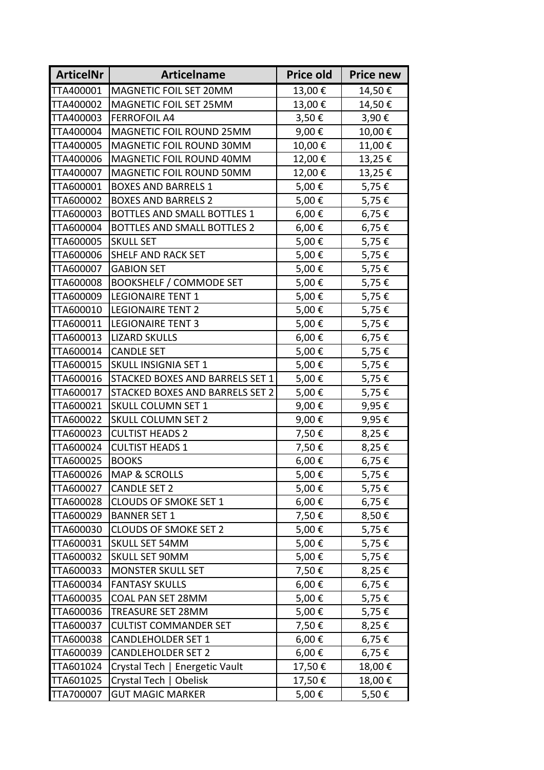| <b>ArticelNr</b> | <b>Articelname</b>              | Price old | <b>Price new</b> |
|------------------|---------------------------------|-----------|------------------|
| TTA400001        | MAGNETIC FOIL SET 20MM          | 13,00€    | 14,50€           |
| TTA400002        | MAGNETIC FOIL SET 25MM          | 13,00€    | 14,50€           |
| TTA400003        | <b>FERROFOIL A4</b>             | 3,50€     | 3,90€            |
| TTA400004        | MAGNETIC FOIL ROUND 25MM        | 9,00€     | 10,00€           |
| TTA400005        | MAGNETIC FOIL ROUND 30MM        | 10,00€    | 11,00€           |
| TTA400006        | MAGNETIC FOIL ROUND 40MM        | 12,00€    | 13,25€           |
| TTA400007        | MAGNETIC FOIL ROUND 50MM        | 12,00€    | 13,25€           |
| TTA600001        | <b>BOXES AND BARRELS 1</b>      | 5,00€     | 5,75€            |
| TTA600002        | <b>BOXES AND BARRELS 2</b>      | 5,00€     | 5,75€            |
| TTA600003        | BOTTLES AND SMALL BOTTLES 1     | 6,00€     | 6,75€            |
| TTA600004        | BOTTLES AND SMALL BOTTLES 2     | 6,00€     | 6,75€            |
| TTA600005        | <b>SKULL SET</b>                | 5,00€     | 5,75€            |
| TTA600006        | SHELF AND RACK SET              | 5,00€     | 5,75€            |
| TTA600007        | <b>GABION SET</b>               | 5,00€     | 5,75€            |
| TTA600008        | <b>BOOKSHELF / COMMODE SET</b>  | 5,00€     | 5,75€            |
| TTA600009        | <b>LEGIONAIRE TENT 1</b>        | 5,00€     | 5,75€            |
| TTA600010        | <b>LEGIONAIRE TENT 2</b>        | 5,00€     | 5,75€            |
| TTA600011        | <b>LEGIONAIRE TENT 3</b>        | 5,00€     | 5,75€            |
| TTA600013        | <b>LIZARD SKULLS</b>            | 6,00€     | 6,75€            |
| TTA600014        | <b>CANDLE SET</b>               | 5,00€     | 5,75€            |
| TTA600015        | <b>SKULL INSIGNIA SET 1</b>     | 5,00€     | 5,75€            |
| TTA600016        | STACKED BOXES AND BARRELS SET 1 | 5,00€     | 5,75€            |
| TTA600017        | STACKED BOXES AND BARRELS SET 2 | 5,00€     | 5,75€            |
| TTA600021        | <b>SKULL COLUMN SET 1</b>       | 9,00€     | 9,95€            |
| TTA600022        | <b>SKULL COLUMN SET 2</b>       | 9,00€     | 9,95€            |
| TTA600023        | <b>CULTIST HEADS 2</b>          | 7,50€     | 8,25€            |
| TTA600024        | <b>CULTIST HEADS 1</b>          | 7,50€     | 8,25€            |
| TTA600025        | <b>BOOKS</b>                    | 6,00€     | 6,75€            |
| TTA600026        | <b>MAP &amp; SCROLLS</b>        | 5,00€     | 5,75€            |
| TTA600027        | <b>CANDLE SET 2</b>             | 5,00€     | 5,75€            |
| TTA600028        | <b>CLOUDS OF SMOKE SET 1</b>    | 6,00€     | 6,75€            |
| TTA600029        | <b>BANNER SET 1</b>             | 7,50€     | 8,50€            |
| TTA600030        | <b>CLOUDS OF SMOKE SET 2</b>    | 5,00€     | 5,75€            |
| TTA600031        | <b>SKULL SET 54MM</b>           | 5,00€     | 5,75€            |
| TTA600032        | <b>SKULL SET 90MM</b>           | 5,00€     | 5,75€            |
| TTA600033        | <b>MONSTER SKULL SET</b>        | 7,50€     | 8,25€            |
| TTA600034        | <b>FANTASY SKULLS</b>           | 6,00€     | 6,75€            |
| TTA600035        | COAL PAN SET 28MM               | 5,00€     | 5,75€            |
| TTA600036        | TREASURE SET 28MM               | 5,00€     | 5,75€            |
| TTA600037        | <b>CULTIST COMMANDER SET</b>    | 7,50€     | 8,25€            |
| TTA600038        | <b>CANDLEHOLDER SET 1</b>       | 6,00€     | 6,75€            |
| TTA600039        | <b>CANDLEHOLDER SET 2</b>       | 6,00€     | 6,75€            |
| TTA601024        | Crystal Tech   Energetic Vault  | 17,50€    | 18,00€           |
| TTA601025        | Crystal Tech   Obelisk          | 17,50€    | 18,00€           |
| TTA700007        | <b>GUT MAGIC MARKER</b>         | 5,00€     | 5,50€            |
|                  |                                 |           |                  |